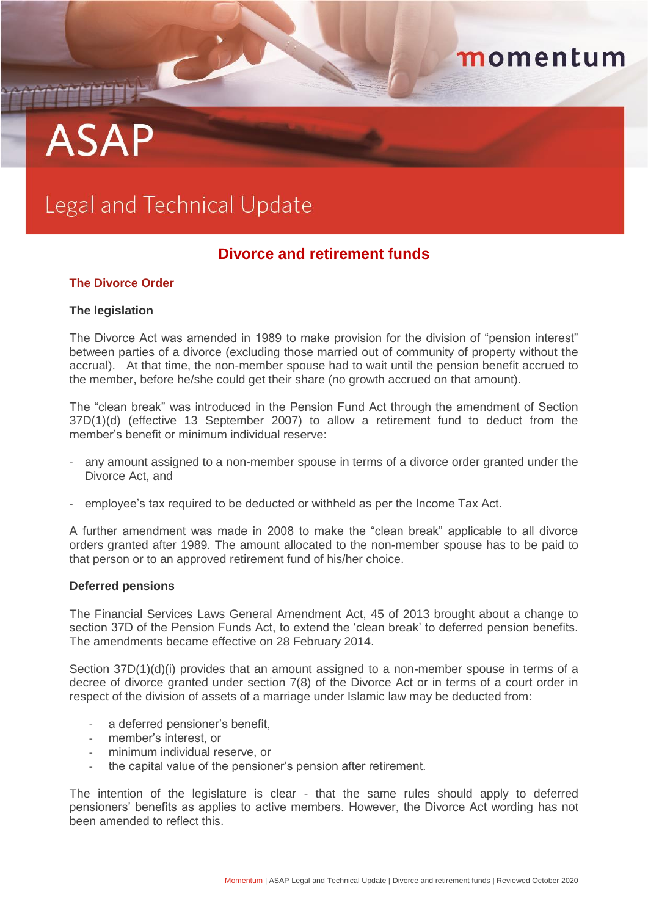# momentum

# **ASAP**

# Legal and Technical Update

# **Divorce and retirement funds**

# **The Divorce Order**

## **The legislation**

The Divorce Act was amended in 1989 to make provision for the division of "pension interest" between parties of a divorce (excluding those married out of community of property without the accrual). At that time, the non-member spouse had to wait until the pension benefit accrued to the member, before he/she could get their share (no growth accrued on that amount).

The "clean break" was introduced in the Pension Fund Act through the amendment of Section 37D(1)(d) (effective 13 September 2007) to allow a retirement fund to deduct from the member's benefit or minimum individual reserve:

- any amount assigned to a non-member spouse in terms of a divorce order granted under the Divorce Act, and
- employee's tax required to be deducted or withheld as per the Income Tax Act.

A further amendment was made in 2008 to make the "clean break" applicable to all divorce orders granted after 1989. The amount allocated to the non-member spouse has to be paid to that person or to an approved retirement fund of his/her choice.

#### **Deferred pensions**

The Financial Services Laws General Amendment Act, 45 of 2013 brought about a change to section 37D of the Pension Funds Act, to extend the 'clean break' to deferred pension benefits. The amendments became effective on 28 February 2014.

Section 37D(1)(d)(i) provides that an amount assigned to a non-member spouse in terms of a decree of divorce granted under section 7(8) of the Divorce Act or in terms of a court order in respect of the division of assets of a marriage under Islamic law may be deducted from:

- a deferred pensioner's benefit,
- member's interest, or
- minimum individual reserve, or
- the capital value of the pensioner's pension after retirement.

The intention of the legislature is clear - that the same rules should apply to deferred pensioners' benefits as applies to active members. However, the Divorce Act wording has not been amended to reflect this.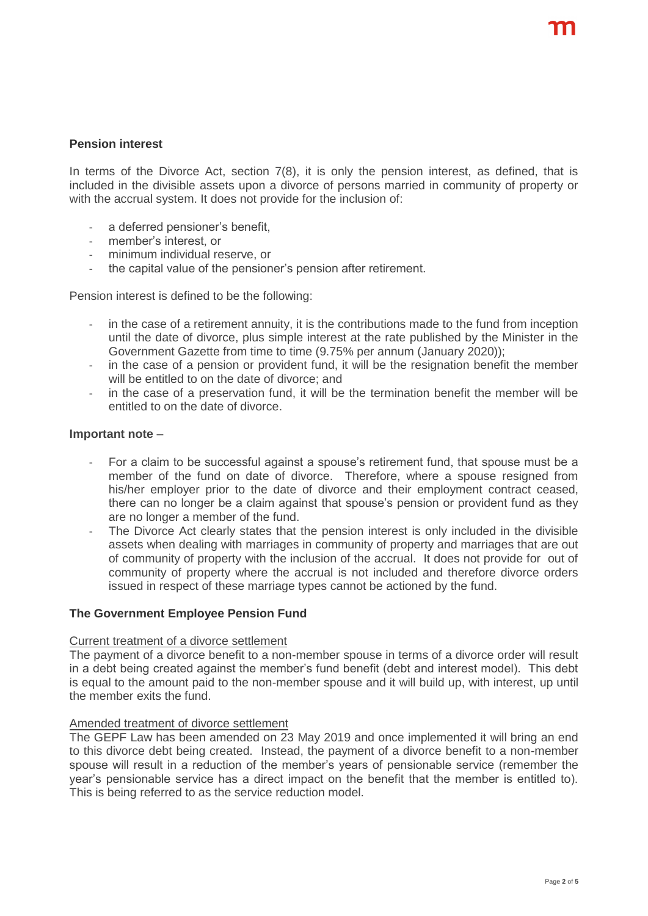# **Pension interest**

In terms of the Divorce Act, section 7(8), it is only the pension interest, as defined, that is included in the divisible assets upon a divorce of persons married in community of property or with the accrual system. It does not provide for the inclusion of:

- a deferred pensioner's benefit,
- member's interest, or
- minimum individual reserve, or
- the capital value of the pensioner's pension after retirement.

Pension interest is defined to be the following:

- in the case of a retirement annuity, it is the contributions made to the fund from inception until the date of divorce, plus simple interest at the rate published by the Minister in the Government Gazette from time to time (9.75% per annum (January 2020));
- in the case of a pension or provident fund, it will be the resignation benefit the member will be entitled to on the date of divorce; and
- in the case of a preservation fund, it will be the termination benefit the member will be entitled to on the date of divorce.

#### **Important note** –

- For a claim to be successful against a spouse's retirement fund, that spouse must be a member of the fund on date of divorce. Therefore, where a spouse resigned from his/her employer prior to the date of divorce and their employment contract ceased, there can no longer be a claim against that spouse's pension or provident fund as they are no longer a member of the fund.
- The Divorce Act clearly states that the pension interest is only included in the divisible assets when dealing with marriages in community of property and marriages that are out of community of property with the inclusion of the accrual. It does not provide for out of community of property where the accrual is not included and therefore divorce orders issued in respect of these marriage types cannot be actioned by the fund.

## **The Government Employee Pension Fund**

#### Current treatment of a divorce settlement

The payment of a divorce benefit to a non-member spouse in terms of a divorce order will result in a debt being created against the member's fund benefit (debt and interest model). This debt is equal to the amount paid to the non-member spouse and it will build up, with interest, up until the member exits the fund.

#### Amended treatment of divorce settlement

The GEPF Law has been amended on 23 May 2019 and once implemented it will bring an end to this divorce debt being created. Instead, the payment of a divorce benefit to a non-member spouse will result in a reduction of the member's years of pensionable service (remember the year's pensionable service has a direct impact on the benefit that the member is entitled to). This is being referred to as the service reduction model.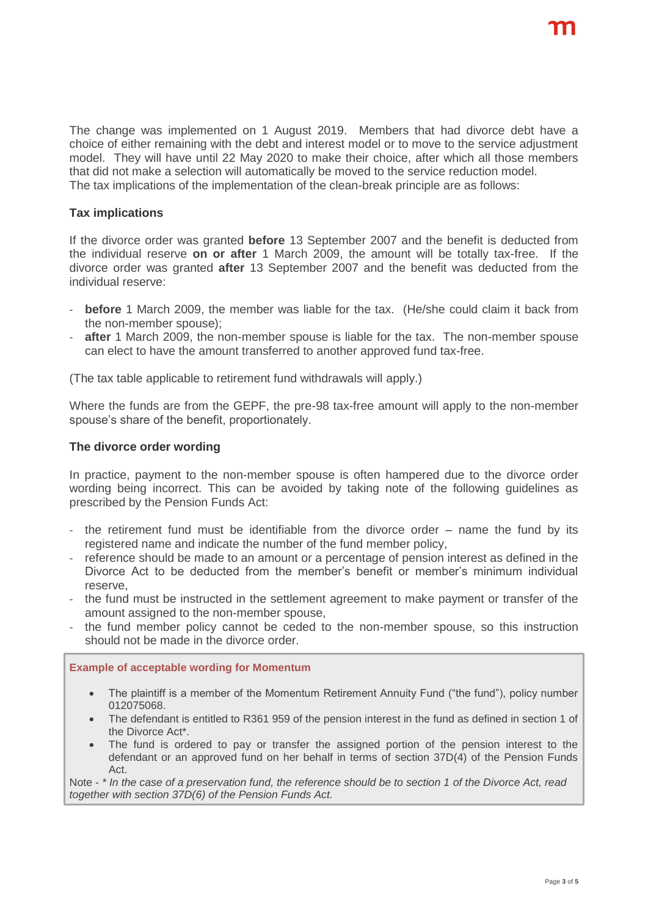The change was implemented on 1 August 2019. Members that had divorce debt have a choice of either remaining with the debt and interest model or to move to the service adjustment model. They will have until 22 May 2020 to make their choice, after which all those members that did not make a selection will automatically be moved to the service reduction model. The tax implications of the implementation of the clean-break principle are as follows:

# **Tax implications**

If the divorce order was granted **before** 13 September 2007 and the benefit is deducted from the individual reserve **on or after** 1 March 2009, the amount will be totally tax-free. If the divorce order was granted **after** 13 September 2007 and the benefit was deducted from the individual reserve:

- **before** 1 March 2009, the member was liable for the tax. (He/she could claim it back from the non-member spouse);
- after 1 March 2009, the non-member spouse is liable for the tax. The non-member spouse can elect to have the amount transferred to another approved fund tax-free.

(The tax table applicable to retirement fund withdrawals will apply.)

Where the funds are from the GEPF, the pre-98 tax-free amount will apply to the non-member spouse's share of the benefit, proportionately.

#### **The divorce order wording**

In practice, payment to the non-member spouse is often hampered due to the divorce order wording being incorrect. This can be avoided by taking note of the following guidelines as prescribed by the Pension Funds Act:

- the retirement fund must be identifiable from the divorce order name the fund by its registered name and indicate the number of the fund member policy,
- reference should be made to an amount or a percentage of pension interest as defined in the Divorce Act to be deducted from the member's benefit or member's minimum individual reserve,
- the fund must be instructed in the settlement agreement to make payment or transfer of the amount assigned to the non-member spouse,
- the fund member policy cannot be ceded to the non-member spouse, so this instruction should not be made in the divorce order.

#### **Example of acceptable wording for Momentum**

- The plaintiff is a member of the Momentum Retirement Annuity Fund ("the fund"), policy number 012075068.
- The defendant is entitled to R361 959 of the pension interest in the fund as defined in section 1 of the Divorce Act\*.
- The fund is ordered to pay or transfer the assigned portion of the pension interest to the defendant or an approved fund on her behalf in terms of section 37D(4) of the Pension Funds Act.

Note - *\* In the case of a preservation fund, the reference should be to section 1 of the Divorce Act, read together with section 37D(6) of the Pension Funds Act.*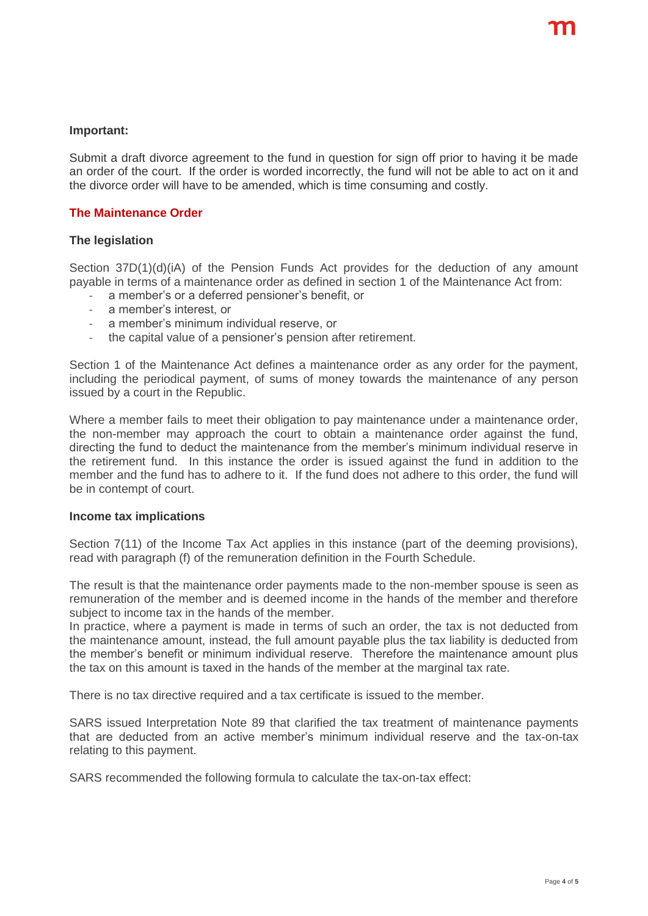#### **Important:**

Submit a draft divorce agreement to the fund in question for sign off prior to having it be made an order of the court. If the order is worded incorrectly, the fund will not be able to act on it and the divorce order will have to be amended, which is time consuming and costly.

## **The Maintenance Order**

#### **The legislation**

Section 37D(1)(d)(iA) of the Pension Funds Act provides for the deduction of any amount payable in terms of a maintenance order as defined in section 1 of the Maintenance Act from:

- a member's or a deferred pensioner's benefit, or
- a member's interest, or
- a member's minimum individual reserve, or
- the capital value of a pensioner's pension after retirement.

Section 1 of the Maintenance Act defines a maintenance order as any order for the payment, including the periodical payment, of sums of money towards the maintenance of any person issued by a court in the Republic.

Where a member fails to meet their obligation to pay maintenance under a maintenance order, the non-member may approach the court to obtain a maintenance order against the fund, directing the fund to deduct the maintenance from the member's minimum individual reserve in the retirement fund. In this instance the order is issued against the fund in addition to the member and the fund has to adhere to it. If the fund does not adhere to this order, the fund will be in contempt of court.

#### **Income tax implications**

Section 7(11) of the Income Tax Act applies in this instance (part of the deeming provisions), read with paragraph (f) of the remuneration definition in the Fourth Schedule.

The result is that the maintenance order payments made to the non-member spouse is seen as remuneration of the member and is deemed income in the hands of the member and therefore subject to income tax in the hands of the member.

In practice, where a payment is made in terms of such an order, the tax is not deducted from the maintenance amount, instead, the full amount payable plus the tax liability is deducted from the member's benefit or minimum individual reserve. Therefore the maintenance amount plus the tax on this amount is taxed in the hands of the member at the marginal tax rate.

There is no tax directive required and a tax certificate is issued to the member.

SARS issued Interpretation Note 89 that clarified the tax treatment of maintenance payments that are deducted from an active member's minimum individual reserve and the tax-on-tax relating to this payment.

SARS recommended the following formula to calculate the tax-on-tax effect: